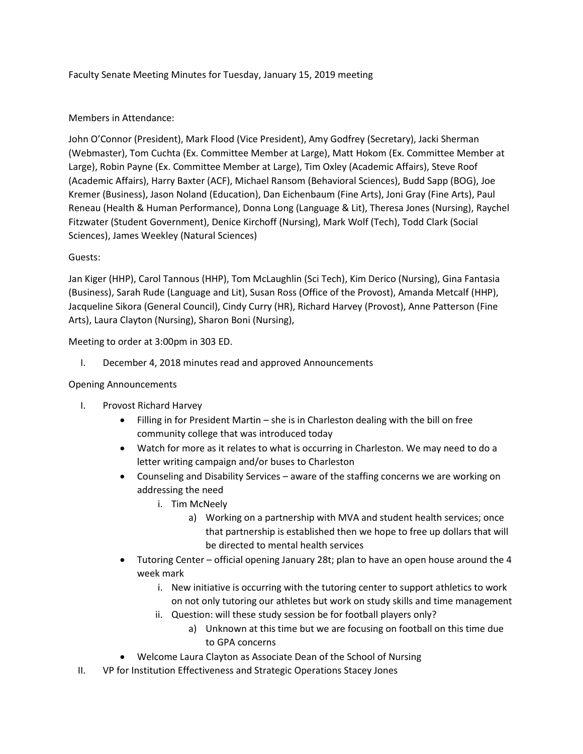Faculty Senate Meeting Minutes for Tuesday, January 15, 2019 meeting

# Members in Attendance:

John O'Connor (President), Mark Flood (Vice President), Amy Godfrey (Secretary), Jacki Sherman (Webmaster), Tom Cuchta (Ex. Committee Member at Large), Matt Hokom (Ex. Committee Member at Large), Robin Payne (Ex. Committee Member at Large), Tim Oxley (Academic Affairs), Steve Roof (Academic Affairs), Harry Baxter (ACF), Michael Ransom (Behavioral Sciences), Budd Sapp (BOG), Joe Kremer (Business), Jason Noland (Education), Dan Eichenbaum (Fine Arts), Joni Gray (Fine Arts), Paul Reneau (Health & Human Performance), Donna Long (Language & Lit), Theresa Jones (Nursing), Raychel Fitzwater (Student Government), Denice Kirchoff (Nursing), Mark Wolf (Tech), Todd Clark (Social Sciences), James Weekley (Natural Sciences)

# Guests:

Jan Kiger (HHP), Carol Tannous (HHP), Tom McLaughlin (Sci Tech), Kim Derico (Nursing), Gina Fantasia (Business), Sarah Rude (Language and Lit), Susan Ross (Office of the Provost), Amanda Metcalf (HHP), Jacqueline Sikora (General Council), Cindy Curry (HR), Richard Harvey (Provost), Anne Patterson (Fine Arts), Laura Clayton (Nursing), Sharon Boni (Nursing),

Meeting to order at 3:00pm in 303 ED.

I. December 4, 2018 minutes read and approved Announcements

## Opening Announcements

- I. Provost Richard Harvey
	- Filling in for President Martin she is in Charleston dealing with the bill on free community college that was introduced today
	- Watch for more as it relates to what is occurring in Charleston. We may need to do a letter writing campaign and/or buses to Charleston
	- Counseling and Disability Services aware of the staffing concerns we are working on addressing the need
		- i. Tim McNeely
			- a) Working on a partnership with MVA and student health services; once that partnership is established then we hope to free up dollars that will be directed to mental health services
	- Tutoring Center official opening January 28t; plan to have an open house around the 4 week mark
		- i. New initiative is occurring with the tutoring center to support athletics to work on not only tutoring our athletes but work on study skills and time management
		- ii. Question: will these study session be for football players only?
			- a) Unknown at this time but we are focusing on football on this time due to GPA concerns
	- Welcome Laura Clayton as Associate Dean of the School of Nursing
- II. VP for Institution Effectiveness and Strategic Operations Stacey Jones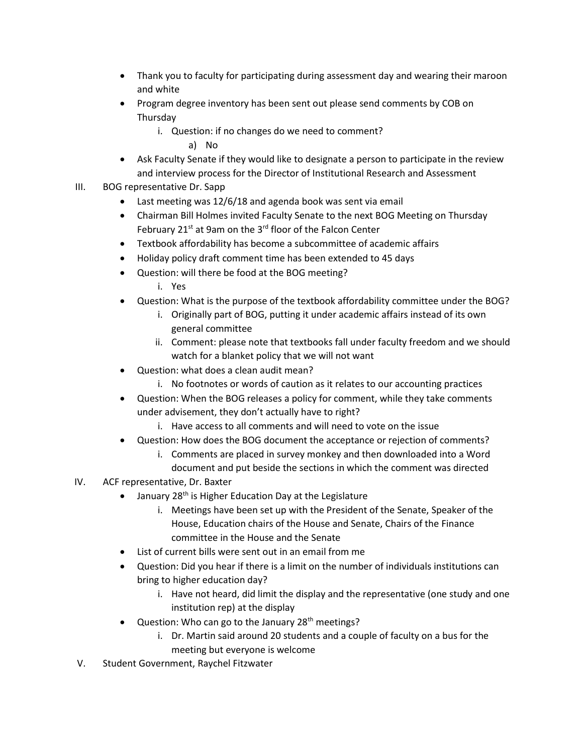- Thank you to faculty for participating during assessment day and wearing their maroon and white
- Program degree inventory has been sent out please send comments by COB on **Thursdav** 
	- i. Question: if no changes do we need to comment?

a) No

- Ask Faculty Senate if they would like to designate a person to participate in the review and interview process for the Director of Institutional Research and Assessment
- III. BOG representative Dr. Sapp
	- Last meeting was 12/6/18 and agenda book was sent via email
	- Chairman Bill Holmes invited Faculty Senate to the next BOG Meeting on Thursday February 21 $st$  at 9am on the 3 $rd$  floor of the Falcon Center
	- Textbook affordability has become a subcommittee of academic affairs
	- Holiday policy draft comment time has been extended to 45 days
	- Question: will there be food at the BOG meeting?
		- i. Yes
	- Question: What is the purpose of the textbook affordability committee under the BOG?
		- i. Originally part of BOG, putting it under academic affairs instead of its own general committee
		- ii. Comment: please note that textbooks fall under faculty freedom and we should watch for a blanket policy that we will not want
	- Question: what does a clean audit mean?
		- i. No footnotes or words of caution as it relates to our accounting practices
	- Question: When the BOG releases a policy for comment, while they take comments under advisement, they don't actually have to right?
		- i. Have access to all comments and will need to vote on the issue
	- Question: How does the BOG document the acceptance or rejection of comments?
		- i. Comments are placed in survey monkey and then downloaded into a Word document and put beside the sections in which the comment was directed
- IV. ACF representative, Dr. Baxter
	- January 28<sup>th</sup> is Higher Education Day at the Legislature
		- i. Meetings have been set up with the President of the Senate, Speaker of the House, Education chairs of the House and Senate, Chairs of the Finance committee in the House and the Senate
	- List of current bills were sent out in an email from me
	- Question: Did you hear if there is a limit on the number of individuals institutions can bring to higher education day?
		- i. Have not heard, did limit the display and the representative (one study and one institution rep) at the display
	- Question: Who can go to the January 28<sup>th</sup> meetings?
		- i. Dr. Martin said around 20 students and a couple of faculty on a bus for the meeting but everyone is welcome
- V. Student Government, Raychel Fitzwater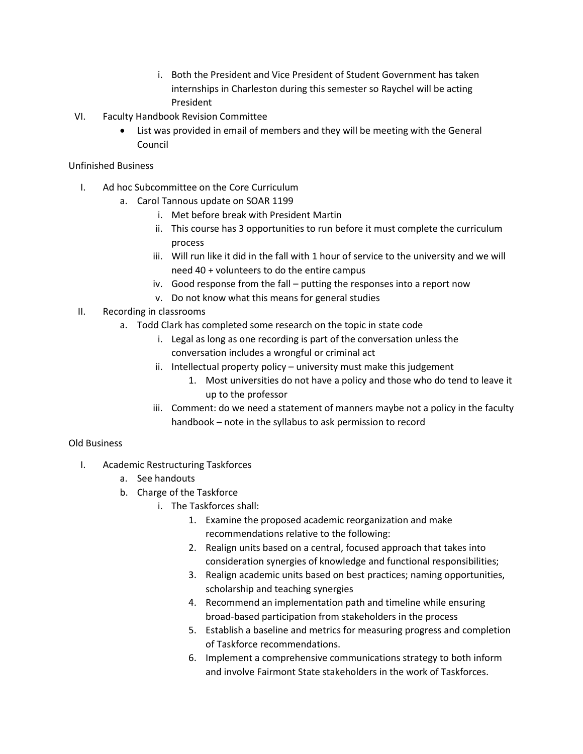- i. Both the President and Vice President of Student Government has taken internships in Charleston during this semester so Raychel will be acting President
- VI. Faculty Handbook Revision Committee
	- List was provided in email of members and they will be meeting with the General Council

# Unfinished Business

- I. Ad hoc Subcommittee on the Core Curriculum
	- a. Carol Tannous update on SOAR 1199
		- i. Met before break with President Martin
		- ii. This course has 3 opportunities to run before it must complete the curriculum process
		- iii. Will run like it did in the fall with 1 hour of service to the university and we will need 40 + volunteers to do the entire campus
		- iv. Good response from the fall putting the responses into a report now
		- v. Do not know what this means for general studies
- II. Recording in classrooms
	- a. Todd Clark has completed some research on the topic in state code
		- i. Legal as long as one recording is part of the conversation unless the conversation includes a wrongful or criminal act
		- ii. Intellectual property policy university must make this judgement
			- 1. Most universities do not have a policy and those who do tend to leave it up to the professor
		- iii. Comment: do we need a statement of manners maybe not a policy in the faculty handbook – note in the syllabus to ask permission to record

# Old Business

- I. Academic Restructuring Taskforces
	- a. See handouts
	- b. Charge of the Taskforce
		- i. The Taskforces shall:
			- 1. Examine the proposed academic reorganization and make recommendations relative to the following:
			- 2. Realign units based on a central, focused approach that takes into consideration synergies of knowledge and functional responsibilities;
			- 3. Realign academic units based on best practices; naming opportunities, scholarship and teaching synergies
			- 4. Recommend an implementation path and timeline while ensuring broad-based participation from stakeholders in the process
			- 5. Establish a baseline and metrics for measuring progress and completion of Taskforce recommendations.
			- 6. Implement a comprehensive communications strategy to both inform and involve Fairmont State stakeholders in the work of Taskforces.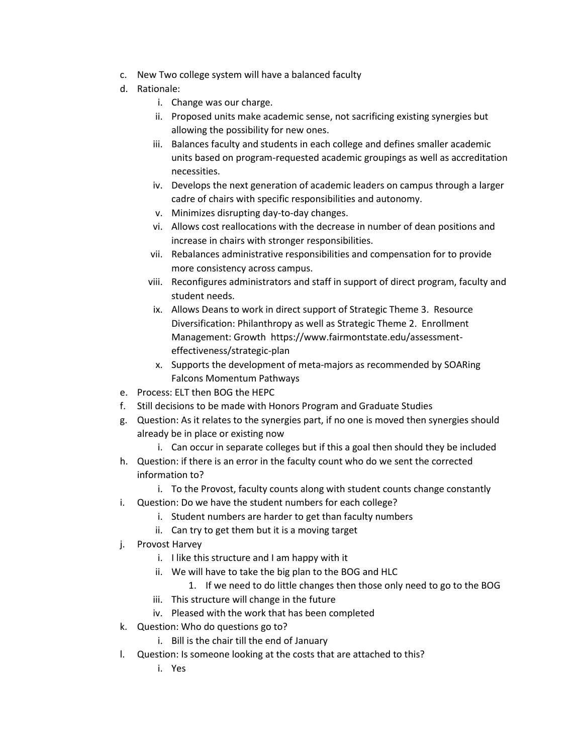- c. New Two college system will have a balanced faculty
- d. Rationale:
	- i. Change was our charge.
	- ii. Proposed units make academic sense, not sacrificing existing synergies but allowing the possibility for new ones.
	- iii. Balances faculty and students in each college and defines smaller academic units based on program-requested academic groupings as well as accreditation necessities.
	- iv. Develops the next generation of academic leaders on campus through a larger cadre of chairs with specific responsibilities and autonomy.
	- v. Minimizes disrupting day-to-day changes.
	- vi. Allows cost reallocations with the decrease in number of dean positions and increase in chairs with stronger responsibilities.
	- vii. Rebalances administrative responsibilities and compensation for to provide more consistency across campus.
	- viii. Reconfigures administrators and staff in support of direct program, faculty and student needs.
	- ix. Allows Deans to work in direct support of Strategic Theme 3. Resource Diversification: Philanthropy as well as Strategic Theme 2. Enrollment Management: Growth https://www.fairmontstate.edu/assessmenteffectiveness/strategic-plan
	- x. Supports the development of meta-majors as recommended by SOARing Falcons Momentum Pathways
- e. Process: ELT then BOG the HEPC
- f. Still decisions to be made with Honors Program and Graduate Studies
- g. Question: As it relates to the synergies part, if no one is moved then synergies should already be in place or existing now
	- i. Can occur in separate colleges but if this a goal then should they be included
- h. Question: if there is an error in the faculty count who do we sent the corrected information to?
	- i. To the Provost, faculty counts along with student counts change constantly
- i. Question: Do we have the student numbers for each college?
	- i. Student numbers are harder to get than faculty numbers
	- ii. Can try to get them but it is a moving target
- j. Provost Harvey
	- i. I like this structure and I am happy with it
	- ii. We will have to take the big plan to the BOG and HLC
		- 1. If we need to do little changes then those only need to go to the BOG
	- iii. This structure will change in the future
	- iv. Pleased with the work that has been completed
- k. Question: Who do questions go to?
	- i. Bill is the chair till the end of January
- l. Question: Is someone looking at the costs that are attached to this?
	- i. Yes